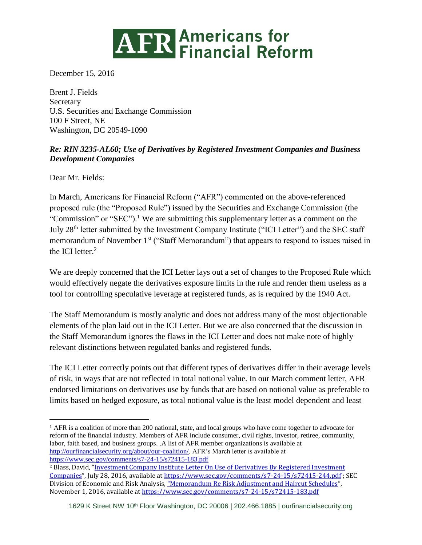## **ATR Americans for<br>
Financial Reform**

December 15, 2016

Brent J. Fields **Secretary** U.S. Securities and Exchange Commission 100 F Street, NE Washington, DC 20549-1090

## *Re: RIN 3235-AL60; Use of Derivatives by Registered Investment Companies and Business Development Companies*

Dear Mr. Fields:

 $\overline{a}$ 

In March, Americans for Financial Reform ("AFR") commented on the above-referenced proposed rule (the "Proposed Rule") issued by the Securities and Exchange Commission (the "Commission" or "SEC").<sup>1</sup> We are submitting this supplementary letter as a comment on the July 28<sup>th</sup> letter submitted by the Investment Company Institute ("ICI Letter") and the SEC staff memorandum of November 1<sup>st</sup> ("Staff Memorandum") that appears to respond to issues raised in the ICI letter.<sup>2</sup>

We are deeply concerned that the ICI Letter lays out a set of changes to the Proposed Rule which would effectively negate the derivatives exposure limits in the rule and render them useless as a tool for controlling speculative leverage at registered funds, as is required by the 1940 Act.

The Staff Memorandum is mostly analytic and does not address many of the most objectionable elements of the plan laid out in the ICI Letter. But we are also concerned that the discussion in the Staff Memorandum ignores the flaws in the ICI Letter and does not make note of highly relevant distinctions between regulated banks and registered funds.

The ICI Letter correctly points out that different types of derivatives differ in their average levels of risk, in ways that are not reflected in total notional value. In our March comment letter, AFR endorsed limitations on derivatives use by funds that are based on notional value as preferable to limits based on hedged exposure, as total notional value is the least model dependent and least

<sup>1</sup> AFR is a coalition of more than 200 national, state, and local groups who have come together to advocate for reform of the financial industry. Members of AFR include consumer, civil rights, investor, retiree, community, labor, faith based, and business groups. .A list of AFR member organizations is available at [http://ourfinancialsecurity.org/about/our-coalition/.](http://ourfinancialsecurity.org/about/our-coalition/) AFR's March letter is available at <https://www.sec.gov/comments/s7-24-15/s72415-183.pdf>

<sup>2</sup> Blass, David, "[Investment Company Institute Letter On Use of Derivatives By Registered Investment](https://www.sec.gov/comments/s7-24-15/s72415-244.pdf)  [Companies](https://www.sec.gov/comments/s7-24-15/s72415-244.pdf)", July 28, 2016, available a[t https://www.sec.gov/comments/s7-24-15/s72415-244.pdf](https://www.sec.gov/comments/s7-24-15/s72415-244.pdf) ; SEC Division of Economic and Risk Analysis, "[Memorandum Re Risk Adjustment and Haircut Schedules](https://www.sec.gov/comments/s7-24-15/s72415-183.pdf)", November 1, 2016, available at<https://www.sec.gov/comments/s7-24-15/s72415-183.pdf>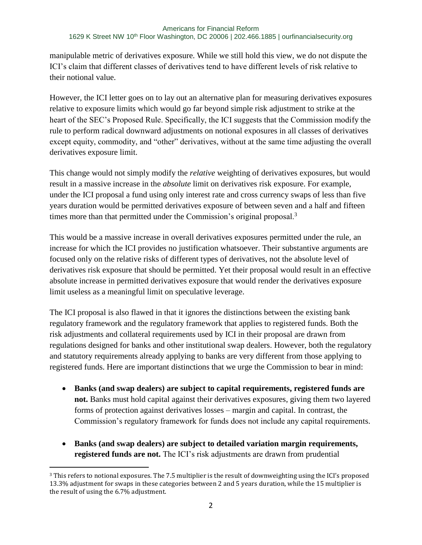manipulable metric of derivatives exposure. While we still hold this view, we do not dispute the ICI's claim that different classes of derivatives tend to have different levels of risk relative to their notional value.

However, the ICI letter goes on to lay out an alternative plan for measuring derivatives exposures relative to exposure limits which would go far beyond simple risk adjustment to strike at the heart of the SEC's Proposed Rule. Specifically, the ICI suggests that the Commission modify the rule to perform radical downward adjustments on notional exposures in all classes of derivatives except equity, commodity, and "other" derivatives, without at the same time adjusting the overall derivatives exposure limit.

This change would not simply modify the *relative* weighting of derivatives exposures, but would result in a massive increase in the *absolute* limit on derivatives risk exposure. For example, under the ICI proposal a fund using only interest rate and cross currency swaps of less than five years duration would be permitted derivatives exposure of between seven and a half and fifteen times more than that permitted under the Commission's original proposal.<sup>3</sup>

This would be a massive increase in overall derivatives exposures permitted under the rule, an increase for which the ICI provides no justification whatsoever. Their substantive arguments are focused only on the relative risks of different types of derivatives, not the absolute level of derivatives risk exposure that should be permitted. Yet their proposal would result in an effective absolute increase in permitted derivatives exposure that would render the derivatives exposure limit useless as a meaningful limit on speculative leverage.

The ICI proposal is also flawed in that it ignores the distinctions between the existing bank regulatory framework and the regulatory framework that applies to registered funds. Both the risk adjustments and collateral requirements used by ICI in their proposal are drawn from regulations designed for banks and other institutional swap dealers. However, both the regulatory and statutory requirements already applying to banks are very different from those applying to registered funds. Here are important distinctions that we urge the Commission to bear in mind:

- **Banks (and swap dealers) are subject to capital requirements, registered funds are not.** Banks must hold capital against their derivatives exposures, giving them two layered forms of protection against derivatives losses – margin and capital. In contrast, the Commission's regulatory framework for funds does not include any capital requirements.
- **Banks (and swap dealers) are subject to detailed variation margin requirements, registered funds are not.** The ICI's risk adjustments are drawn from prudential

 $\overline{a}$ 

<sup>3</sup> This refers to notional exposures. The 7.5 multiplier is the result of downweighting using the ICI's proposed 13.3% adjustment for swaps in these categories between 2 and 5 years duration, while the 15 multiplier is the result of using the 6.7% adjustment.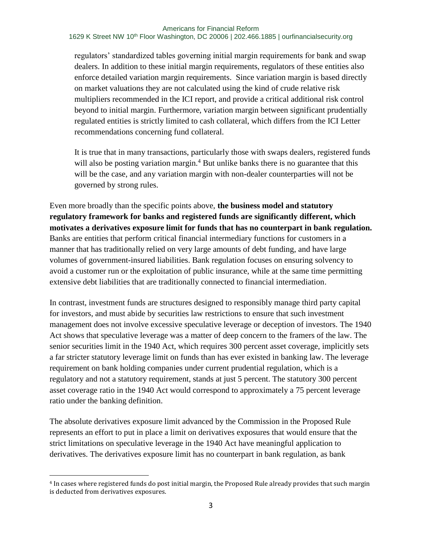## Americans for Financial Reform 1629 K Street NW 10<sup>th</sup> Floor Washington, DC 20006 | 202.466.1885 | [ourfinancialsecurity.org](file:///C:/Users/EKilroy/Downloads/ourfinancialsecurity.org)

regulators' standardized tables governing initial margin requirements for bank and swap dealers. In addition to these initial margin requirements, regulators of these entities also enforce detailed variation margin requirements. Since variation margin is based directly on market valuations they are not calculated using the kind of crude relative risk multipliers recommended in the ICI report, and provide a critical additional risk control beyond to initial margin. Furthermore, variation margin between significant prudentially regulated entities is strictly limited to cash collateral, which differs from the ICI Letter recommendations concerning fund collateral.

It is true that in many transactions, particularly those with swaps dealers, registered funds will also be posting variation margin.<sup>4</sup> But unlike banks there is no guarantee that this will be the case, and any variation margin with non-dealer counterparties will not be governed by strong rules.

Even more broadly than the specific points above, **the business model and statutory regulatory framework for banks and registered funds are significantly different, which motivates a derivatives exposure limit for funds that has no counterpart in bank regulation.** Banks are entities that perform critical financial intermediary functions for customers in a manner that has traditionally relied on very large amounts of debt funding, and have large volumes of government-insured liabilities. Bank regulation focuses on ensuring solvency to avoid a customer run or the exploitation of public insurance, while at the same time permitting extensive debt liabilities that are traditionally connected to financial intermediation.

In contrast, investment funds are structures designed to responsibly manage third party capital for investors, and must abide by securities law restrictions to ensure that such investment management does not involve excessive speculative leverage or deception of investors. The 1940 Act shows that speculative leverage was a matter of deep concern to the framers of the law. The senior securities limit in the 1940 Act, which requires 300 percent asset coverage, implicitly sets a far stricter statutory leverage limit on funds than has ever existed in banking law. The leverage requirement on bank holding companies under current prudential regulation, which is a regulatory and not a statutory requirement, stands at just 5 percent. The statutory 300 percent asset coverage ratio in the 1940 Act would correspond to approximately a 75 percent leverage ratio under the banking definition.

The absolute derivatives exposure limit advanced by the Commission in the Proposed Rule represents an effort to put in place a limit on derivatives exposures that would ensure that the strict limitations on speculative leverage in the 1940 Act have meaningful application to derivatives. The derivatives exposure limit has no counterpart in bank regulation, as bank

 $\overline{a}$ 

<sup>4</sup> In cases where registered funds do post initial margin, the Proposed Rule already provides that such margin is deducted from derivatives exposures.